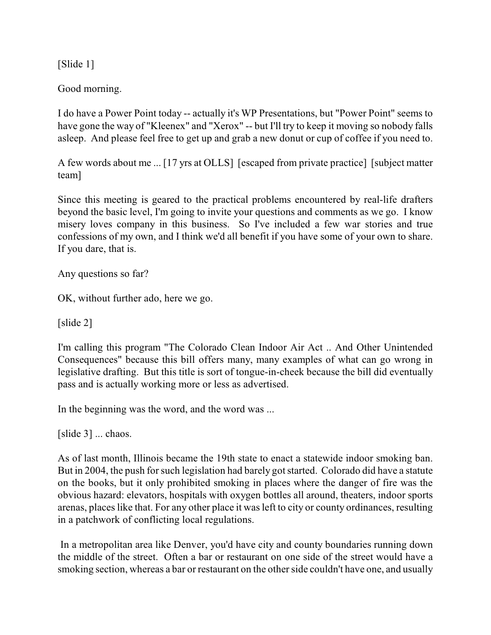[Slide 1]

Good morning.

I do have a Power Point today -- actually it's WP Presentations, but "Power Point" seems to have gone the way of "Kleenex" and "Xerox" -- but I'll try to keep it moving so nobody falls asleep. And please feel free to get up and grab a new donut or cup of coffee if you need to.

A few words about me ... [17 yrs at OLLS] [escaped from private practice] [subject matter team]

Since this meeting is geared to the practical problems encountered by real-life drafters beyond the basic level, I'm going to invite your questions and comments as we go. I know misery loves company in this business. So I've included a few war stories and true confessions of my own, and I think we'd all benefit if you have some of your own to share. If you dare, that is.

Any questions so far?

OK, without further ado, here we go.

[slide 2]

I'm calling this program "The Colorado Clean Indoor Air Act .. And Other Unintended Consequences" because this bill offers many, many examples of what can go wrong in legislative drafting. But this title is sort of tongue-in-cheek because the bill did eventually pass and is actually working more or less as advertised.

In the beginning was the word, and the word was ...

[slide 3] ... chaos.

As of last month, Illinois became the 19th state to enact a statewide indoor smoking ban. But in 2004, the push for such legislation had barely got started. Colorado did have a statute on the books, but it only prohibited smoking in places where the danger of fire was the obvious hazard: elevators, hospitals with oxygen bottles all around, theaters, indoor sports arenas, places like that. For any other place it wasleft to city or county ordinances, resulting in a patchwork of conflicting local regulations.

 In a metropolitan area like Denver, you'd have city and county boundaries running down the middle of the street. Often a bar or restaurant on one side of the street would have a smoking section, whereas a bar or restaurant on the other side couldn't have one, and usually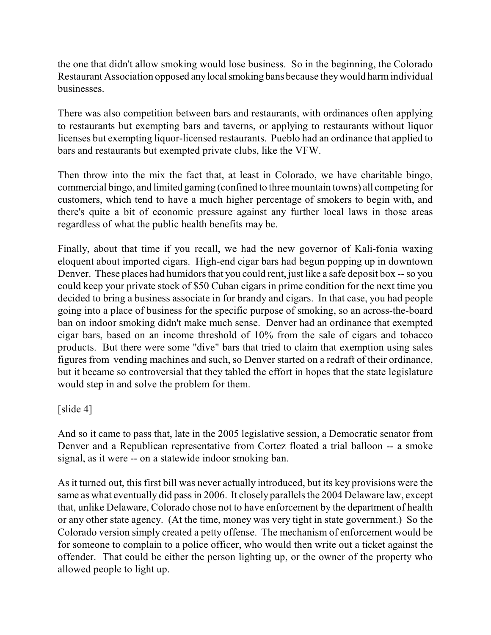the one that didn't allow smoking would lose business. So in the beginning, the Colorado Restaurant Association opposed any local smoking bans because they would harm individual businesses.

There was also competition between bars and restaurants, with ordinances often applying to restaurants but exempting bars and taverns, or applying to restaurants without liquor licenses but exempting liquor-licensed restaurants. Pueblo had an ordinance that applied to bars and restaurants but exempted private clubs, like the VFW.

Then throw into the mix the fact that, at least in Colorado, we have charitable bingo, commercial bingo, and limited gaming (confined to three mountain towns) all competing for customers, which tend to have a much higher percentage of smokers to begin with, and there's quite a bit of economic pressure against any further local laws in those areas regardless of what the public health benefits may be.

Finally, about that time if you recall, we had the new governor of Kali-fonia waxing eloquent about imported cigars. High-end cigar bars had begun popping up in downtown Denver. These places had humidors that you could rent, just like a safe deposit box -- so you could keep your private stock of \$50 Cuban cigars in prime condition for the next time you decided to bring a business associate in for brandy and cigars. In that case, you had people going into a place of business for the specific purpose of smoking, so an across-the-board ban on indoor smoking didn't make much sense. Denver had an ordinance that exempted cigar bars, based on an income threshold of 10% from the sale of cigars and tobacco products. But there were some "dive" bars that tried to claim that exemption using sales figures from vending machines and such, so Denver started on a redraft of their ordinance, but it became so controversial that they tabled the effort in hopes that the state legislature would step in and solve the problem for them.

[slide 4]

And so it came to pass that, late in the 2005 legislative session, a Democratic senator from Denver and a Republican representative from Cortez floated a trial balloon -- a smoke signal, as it were -- on a statewide indoor smoking ban.

As it turned out, this first bill was never actually introduced, but its key provisions were the same as what eventually did pass in 2006. It closely parallels the 2004 Delaware law, except that, unlike Delaware, Colorado chose not to have enforcement by the department of health or any other state agency. (At the time, money was very tight in state government.) So the Colorado version simply created a petty offense. The mechanism of enforcement would be for someone to complain to a police officer, who would then write out a ticket against the offender. That could be either the person lighting up, or the owner of the property who allowed people to light up.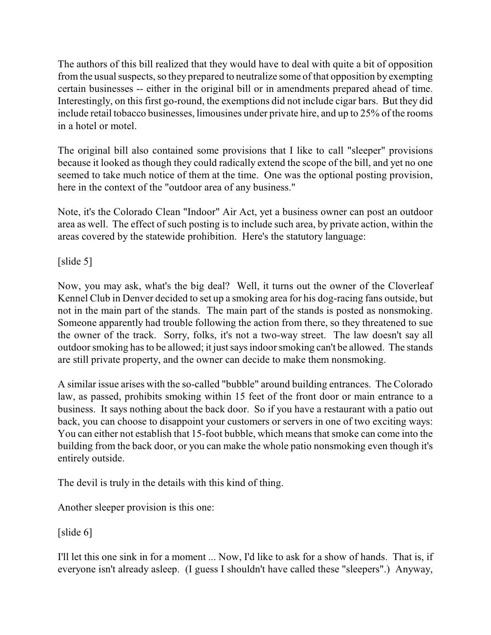The authors of this bill realized that they would have to deal with quite a bit of opposition from the usual suspects, so they prepared to neutralize some of that opposition by exempting certain businesses -- either in the original bill or in amendments prepared ahead of time. Interestingly, on this first go-round, the exemptions did not include cigar bars. But they did include retail tobacco businesses, limousines under private hire, and up to 25% of the rooms in a hotel or motel.

The original bill also contained some provisions that I like to call "sleeper" provisions because it looked as though they could radically extend the scope of the bill, and yet no one seemed to take much notice of them at the time. One was the optional posting provision, here in the context of the "outdoor area of any business."

Note, it's the Colorado Clean "Indoor" Air Act, yet a business owner can post an outdoor area as well. The effect of such posting is to include such area, by private action, within the areas covered by the statewide prohibition. Here's the statutory language:

[slide 5]

Now, you may ask, what's the big deal? Well, it turns out the owner of the Cloverleaf Kennel Club in Denver decided to set up a smoking area for his dog-racing fans outside, but not in the main part of the stands. The main part of the stands is posted as nonsmoking. Someone apparently had trouble following the action from there, so they threatened to sue the owner of the track. Sorry, folks, it's not a two-way street. The law doesn't say all outdoor smoking has to be allowed; it justsaysindoorsmoking can't be allowed. The stands are still private property, and the owner can decide to make them nonsmoking.

A similar issue arises with the so-called "bubble" around building entrances. The Colorado law, as passed, prohibits smoking within 15 feet of the front door or main entrance to a business. It says nothing about the back door. So if you have a restaurant with a patio out back, you can choose to disappoint your customers or servers in one of two exciting ways: You can either not establish that 15-foot bubble, which means that smoke can come into the building from the back door, or you can make the whole patio nonsmoking even though it's entirely outside.

The devil is truly in the details with this kind of thing.

Another sleeper provision is this one:

[slide 6]

I'll let this one sink in for a moment ... Now, I'd like to ask for a show of hands. That is, if everyone isn't already asleep. (I guess I shouldn't have called these "sleepers".) Anyway,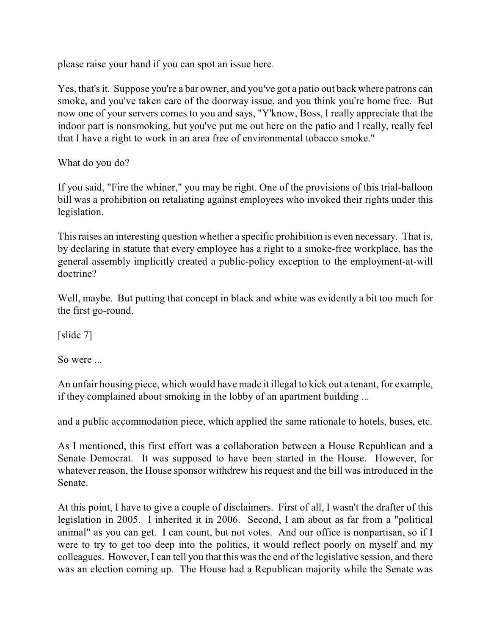please raise your hand if you can spot an issue here.

Yes, that's it. Suppose you're a bar owner, and you've got a patio out back where patrons can smoke, and you've taken care of the doorway issue, and you think you're home free. But now one of your servers comes to you and says, "Y'know, Boss, I really appreciate that the indoor part is nonsmoking, but you've put me out here on the patio and I really, really feel that I have a right to work in an area free of environmental tobacco smoke."

What do you do?

If you said, "Fire the whiner," you may be right. One of the provisions of this trial-balloon bill was a prohibition on retaliating against employees who invoked their rights under this legislation.

This raises an interesting question whether a specific prohibition is even necessary. That is, by declaring in statute that every employee has a right to a smoke-free workplace, has the general assembly implicitly created a public-policy exception to the employment-at-will doctrine?

Well, maybe. But putting that concept in black and white was evidently a bit too much for the first go-round.

[slide 7]

So were ...

An unfair housing piece, which would have made it illegal to kick out a tenant, for example, if they complained about smoking in the lobby of an apartment building ...

and a public accommodation piece, which applied the same rationale to hotels, buses, etc.

As I mentioned, this first effort was a collaboration between a House Republican and a Senate Democrat. It was supposed to have been started in the House. However, for whatever reason, the House sponsor withdrew his request and the bill was introduced in the Senate.

At this point, I have to give a couple of disclaimers. First of all, I wasn't the drafter of this legislation in 2005. I inherited it in 2006. Second, I am about as far from a "political animal" as you can get. I can count, but not votes. And our office is nonpartisan, so if I were to try to get too deep into the politics, it would reflect poorly on myself and my colleagues. However, I can tell you that this was the end of the legislative session, and there was an election coming up. The House had a Republican majority while the Senate was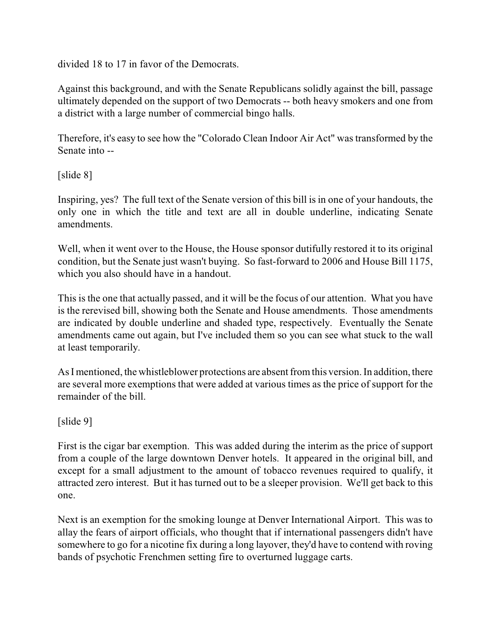divided 18 to 17 in favor of the Democrats.

Against this background, and with the Senate Republicans solidly against the bill, passage ultimately depended on the support of two Democrats -- both heavy smokers and one from a district with a large number of commercial bingo halls.

Therefore, it's easy to see how the "Colorado Clean Indoor Air Act" was transformed by the Senate into --

[slide 8]

Inspiring, yes? The full text of the Senate version of this bill is in one of your handouts, the only one in which the title and text are all in double underline, indicating Senate amendments.

Well, when it went over to the House, the House sponsor dutifully restored it to its original condition, but the Senate just wasn't buying. So fast-forward to 2006 and House Bill 1175, which you also should have in a handout.

This is the one that actually passed, and it will be the focus of our attention. What you have is the rerevised bill, showing both the Senate and House amendments. Those amendments are indicated by double underline and shaded type, respectively. Eventually the Senate amendments came out again, but I've included them so you can see what stuck to the wall at least temporarily.

As I mentioned, the whistleblower protections are absent from this version. In addition, there are several more exemptions that were added at various times as the price of support for the remainder of the bill.

[slide 9]

First is the cigar bar exemption. This was added during the interim as the price of support from a couple of the large downtown Denver hotels. It appeared in the original bill, and except for a small adjustment to the amount of tobacco revenues required to qualify, it attracted zero interest. But it has turned out to be a sleeper provision. We'll get back to this one.

Next is an exemption for the smoking lounge at Denver International Airport. This was to allay the fears of airport officials, who thought that if international passengers didn't have somewhere to go for a nicotine fix during a long layover, they'd have to contend with roving bands of psychotic Frenchmen setting fire to overturned luggage carts.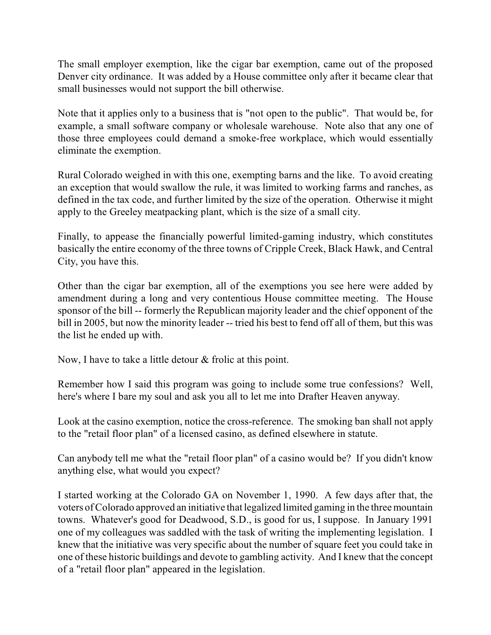The small employer exemption, like the cigar bar exemption, came out of the proposed Denver city ordinance. It was added by a House committee only after it became clear that small businesses would not support the bill otherwise.

Note that it applies only to a business that is "not open to the public". That would be, for example, a small software company or wholesale warehouse. Note also that any one of those three employees could demand a smoke-free workplace, which would essentially eliminate the exemption.

Rural Colorado weighed in with this one, exempting barns and the like. To avoid creating an exception that would swallow the rule, it was limited to working farms and ranches, as defined in the tax code, and further limited by the size of the operation. Otherwise it might apply to the Greeley meatpacking plant, which is the size of a small city.

Finally, to appease the financially powerful limited-gaming industry, which constitutes basically the entire economy of the three towns of Cripple Creek, Black Hawk, and Central City, you have this.

Other than the cigar bar exemption, all of the exemptions you see here were added by amendment during a long and very contentious House committee meeting. The House sponsor of the bill -- formerly the Republican majority leader and the chief opponent of the bill in 2005, but now the minority leader -- tried his best to fend off all of them, but this was the list he ended up with.

Now, I have to take a little detour & frolic at this point.

Remember how I said this program was going to include some true confessions? Well, here's where I bare my soul and ask you all to let me into Drafter Heaven anyway.

Look at the casino exemption, notice the cross-reference. The smoking ban shall not apply to the "retail floor plan" of a licensed casino, as defined elsewhere in statute.

Can anybody tell me what the "retail floor plan" of a casino would be? If you didn't know anything else, what would you expect?

I started working at the Colorado GA on November 1, 1990. A few days after that, the voters of Colorado approved an initiative that legalized limited gaming in the three mountain towns. Whatever's good for Deadwood, S.D., is good for us, I suppose. In January 1991 one of my colleagues was saddled with the task of writing the implementing legislation. I knew that the initiative was very specific about the number of square feet you could take in one of these historic buildings and devote to gambling activity. And I knew that the concept of a "retail floor plan" appeared in the legislation.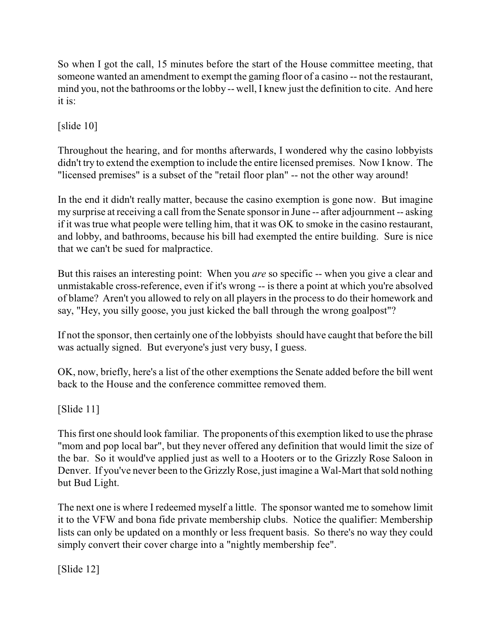So when I got the call, 15 minutes before the start of the House committee meeting, that someone wanted an amendment to exempt the gaming floor of a casino -- not the restaurant, mind you, not the bathrooms or the lobby -- well, I knew just the definition to cite. And here it is:

[slide 10]

Throughout the hearing, and for months afterwards, I wondered why the casino lobbyists didn't try to extend the exemption to include the entire licensed premises. Now I know. The "licensed premises" is a subset of the "retail floor plan" -- not the other way around!

In the end it didn't really matter, because the casino exemption is gone now. But imagine my surprise at receiving a call from the Senate sponsor in June -- after adjournment -- asking if it was true what people were telling him, that it was OK to smoke in the casino restaurant, and lobby, and bathrooms, because his bill had exempted the entire building. Sure is nice that we can't be sued for malpractice.

But this raises an interesting point: When you *are* so specific -- when you give a clear and unmistakable cross-reference, even if it's wrong -- is there a point at which you're absolved of blame? Aren't you allowed to rely on all players in the process to do their homework and say, "Hey, you silly goose, you just kicked the ball through the wrong goalpost"?

If not the sponsor, then certainly one of the lobbyists should have caught that before the bill was actually signed. But everyone's just very busy, I guess.

OK, now, briefly, here's a list of the other exemptions the Senate added before the bill went back to the House and the conference committee removed them.

[Slide 11]

This first one should look familiar. The proponents of this exemption liked to use the phrase "mom and pop local bar", but they never offered any definition that would limit the size of the bar. So it would've applied just as well to a Hooters or to the Grizzly Rose Saloon in Denver. If you've never been to the Grizzly Rose, just imagine a Wal-Mart that sold nothing but Bud Light.

The next one is where I redeemed myself a little. The sponsor wanted me to somehow limit it to the VFW and bona fide private membership clubs. Notice the qualifier: Membership lists can only be updated on a monthly or less frequent basis. So there's no way they could simply convert their cover charge into a "nightly membership fee".

[Slide 12]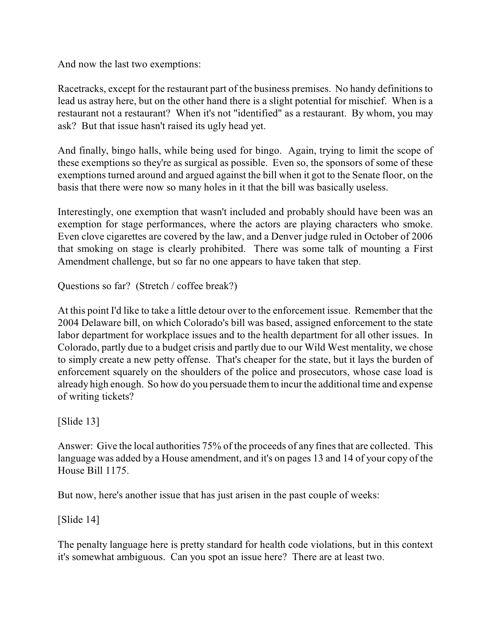And now the last two exemptions:

Racetracks, except for the restaurant part of the business premises. No handy definitions to lead us astray here, but on the other hand there is a slight potential for mischief. When is a restaurant not a restaurant? When it's not "identified" as a restaurant. By whom, you may ask? But that issue hasn't raised its ugly head yet.

And finally, bingo halls, while being used for bingo. Again, trying to limit the scope of these exemptions so they're as surgical as possible. Even so, the sponsors of some of these exemptions turned around and argued against the bill when it got to the Senate floor, on the basis that there were now so many holes in it that the bill was basically useless.

Interestingly, one exemption that wasn't included and probably should have been was an exemption for stage performances, where the actors are playing characters who smoke. Even clove cigarettes are covered by the law, and a Denver judge ruled in October of 2006 that smoking on stage is clearly prohibited. There was some talk of mounting a First Amendment challenge, but so far no one appears to have taken that step.

Questions so far? (Stretch / coffee break?)

At this point I'd like to take a little detour over to the enforcement issue. Remember that the 2004 Delaware bill, on which Colorado's bill was based, assigned enforcement to the state labor department for workplace issues and to the health department for all other issues. In Colorado, partly due to a budget crisis and partly due to our Wild West mentality, we chose to simply create a new petty offense. That's cheaper for the state, but it lays the burden of enforcement squarely on the shoulders of the police and prosecutors, whose case load is already high enough. So how do you persuade themto incur the additional time and expense of writing tickets?

[Slide 13]

Answer: Give the local authorities 75% of the proceeds of any fines that are collected. This language was added by a House amendment, and it's on pages 13 and 14 of your copy of the House Bill 1175.

But now, here's another issue that has just arisen in the past couple of weeks:

[Slide 14]

The penalty language here is pretty standard for health code violations, but in this context it's somewhat ambiguous. Can you spot an issue here? There are at least two.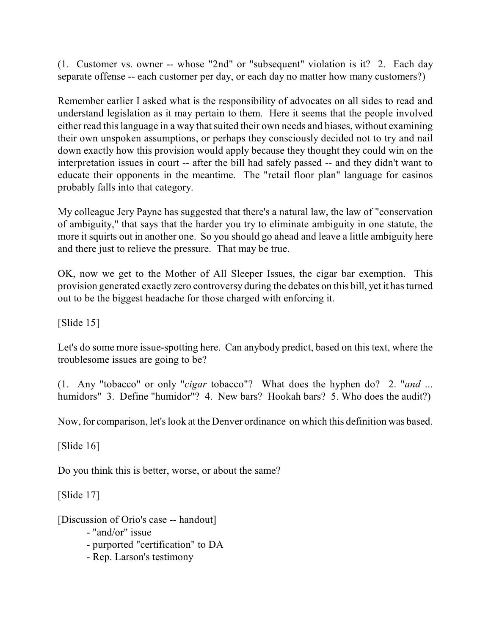(1. Customer vs. owner -- whose "2nd" or "subsequent" violation is it? 2. Each day separate offense -- each customer per day, or each day no matter how many customers?)

Remember earlier I asked what is the responsibility of advocates on all sides to read and understand legislation as it may pertain to them. Here it seems that the people involved either read this language in a way that suited their own needs and biases, without examining their own unspoken assumptions, or perhaps they consciously decided not to try and nail down exactly how this provision would apply because they thought they could win on the interpretation issues in court -- after the bill had safely passed -- and they didn't want to educate their opponents in the meantime. The "retail floor plan" language for casinos probably falls into that category.

My colleague Jery Payne has suggested that there's a natural law, the law of "conservation of ambiguity," that says that the harder you try to eliminate ambiguity in one statute, the more it squirts out in another one. So you should go ahead and leave a little ambiguity here and there just to relieve the pressure. That may be true.

OK, now we get to the Mother of All Sleeper Issues, the cigar bar exemption. This provision generated exactly zero controversy during the debates on this bill, yet it has turned out to be the biggest headache for those charged with enforcing it.

[Slide 15]

Let's do some more issue-spotting here. Can anybody predict, based on this text, where the troublesome issues are going to be?

(1. Any "tobacco" or only "*cigar* tobacco"? What does the hyphen do? 2. "*and* ... humidors" 3. Define "humidor"? 4. New bars? Hookah bars? 5. Who does the audit?)

Now, for comparison, let's look at the Denver ordinance on which this definition was based.

[Slide 16]

Do you think this is better, worse, or about the same?

[Slide 17]

[Discussion of Orio's case -- handout]

- "and/or" issue
- purported "certification" to DA
- Rep. Larson's testimony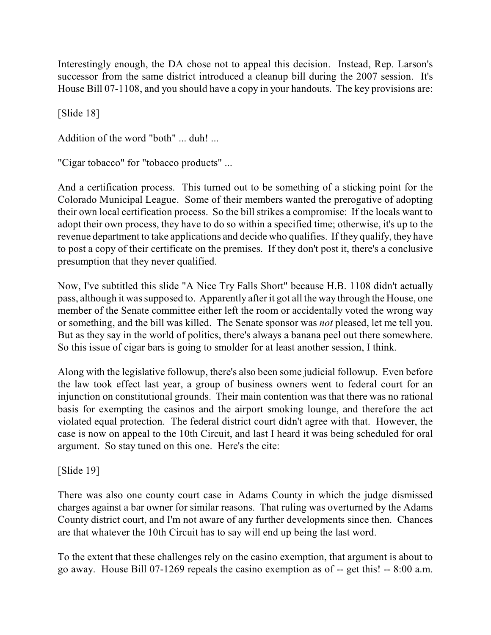Interestingly enough, the DA chose not to appeal this decision. Instead, Rep. Larson's successor from the same district introduced a cleanup bill during the 2007 session. It's House Bill 07-1108, and you should have a copy in your handouts. The key provisions are:

[Slide 18]

Addition of the word "both" ... duh! ...

"Cigar tobacco" for "tobacco products" ...

And a certification process. This turned out to be something of a sticking point for the Colorado Municipal League. Some of their members wanted the prerogative of adopting their own local certification process. So the bill strikes a compromise: If the locals want to adopt their own process, they have to do so within a specified time; otherwise, it's up to the revenue department to take applications and decide who qualifies. If they qualify, they have to post a copy of their certificate on the premises. If they don't post it, there's a conclusive presumption that they never qualified.

Now, I've subtitled this slide "A Nice Try Falls Short" because H.B. 1108 didn't actually pass, although it was supposed to. Apparently after it got all the way through the House, one member of the Senate committee either left the room or accidentally voted the wrong way or something, and the bill was killed. The Senate sponsor was *not* pleased, let me tell you. But as they say in the world of politics, there's always a banana peel out there somewhere. So this issue of cigar bars is going to smolder for at least another session, I think.

Along with the legislative followup, there's also been some judicial followup. Even before the law took effect last year, a group of business owners went to federal court for an injunction on constitutional grounds. Their main contention was that there was no rational basis for exempting the casinos and the airport smoking lounge, and therefore the act violated equal protection. The federal district court didn't agree with that. However, the case is now on appeal to the 10th Circuit, and last I heard it was being scheduled for oral argument. So stay tuned on this one. Here's the cite:

[Slide 19]

There was also one county court case in Adams County in which the judge dismissed charges against a bar owner for similar reasons. That ruling was overturned by the Adams County district court, and I'm not aware of any further developments since then. Chances are that whatever the 10th Circuit has to say will end up being the last word.

To the extent that these challenges rely on the casino exemption, that argument is about to go away. House Bill 07-1269 repeals the casino exemption as of -- get this! -- 8:00 a.m.